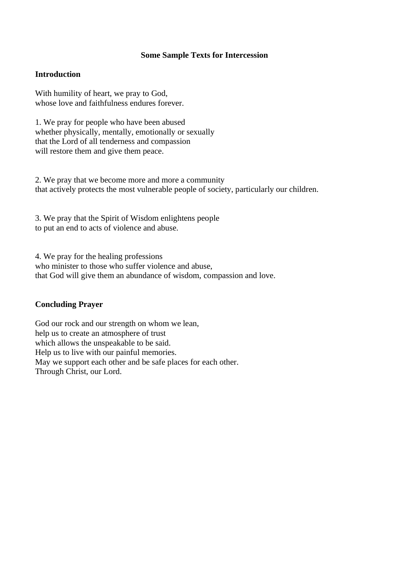### **Some Sample Texts for Intercession**

# **Introduction**

With humility of heart, we pray to God, whose love and faithfulness endures forever.

1. We pray for people who have been abused whether physically, mentally, emotionally or sexually that the Lord of all tenderness and compassion will restore them and give them peace.

2. We pray that we become more and more a community that actively protects the most vulnerable people of society, particularly our children.

3. We pray that the Spirit of Wisdom enlightens people to put an end to acts of violence and abuse.

4. We pray for the healing professions who minister to those who suffer violence and abuse, that God will give them an abundance of wisdom, compassion and love.

### **Concluding Prayer**

God our rock and our strength on whom we lean, help us to create an atmosphere of trust which allows the unspeakable to be said. Help us to live with our painful memories. May we support each other and be safe places for each other. Through Christ, our Lord.